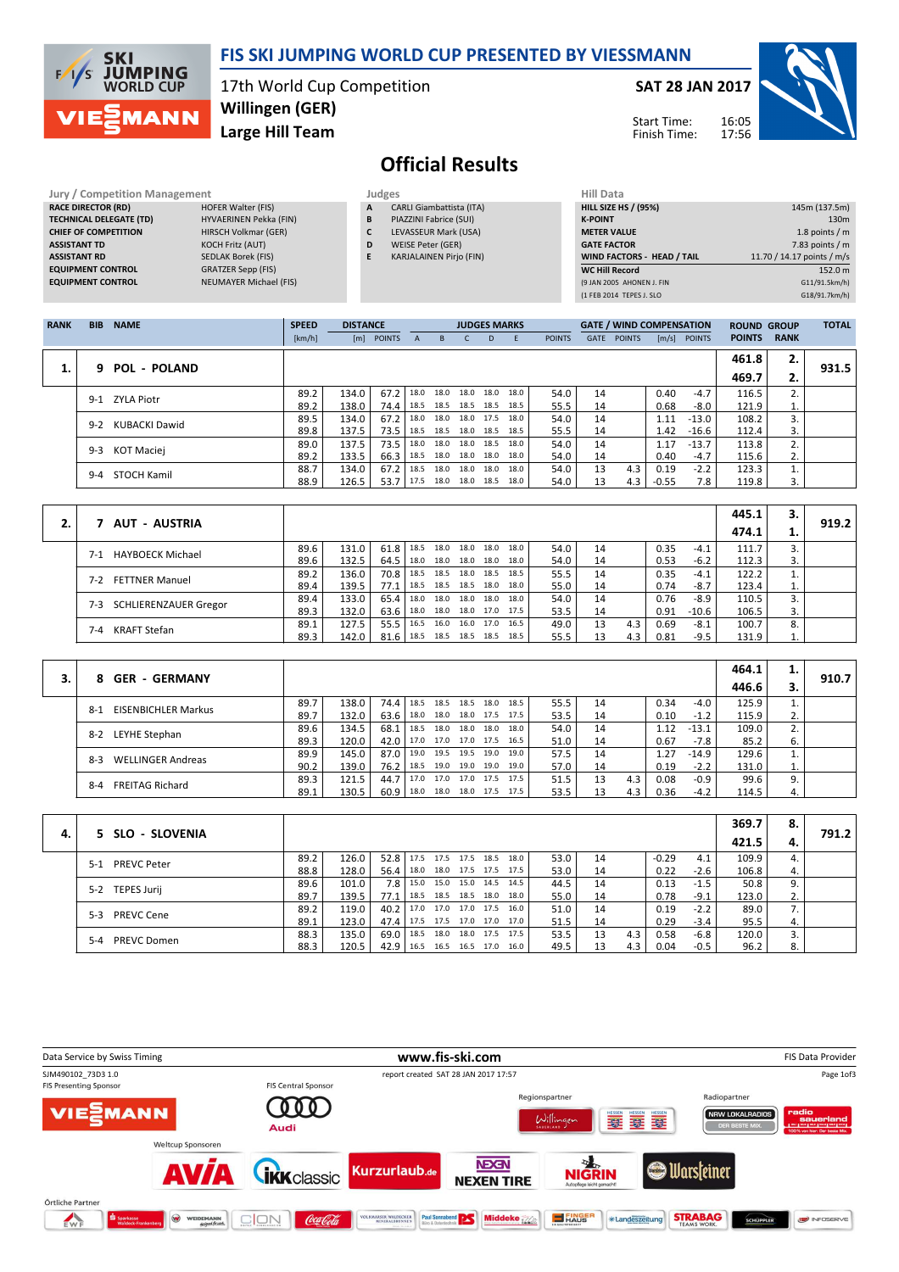

# Official Results

| Jury / Competition Management  |                               | <b>Judges</b> |                                 | <b>Hill Data</b>   |
|--------------------------------|-------------------------------|---------------|---------------------------------|--------------------|
| <b>RACE DIRECTOR (RD)</b>      | <b>HOFER Walter (FIS)</b>     | A             | <b>CARLI Giambattista (ITA)</b> | <b>HILL SIZE H</b> |
| <b>TECHNICAL DELEGATE (TD)</b> | HYVAERINEN Pekka (FIN)        | B             | PIAZZINI Fabrice (SUI)          | <b>K-POINT</b>     |
| <b>CHIEF OF COMPETITION</b>    | HIRSCH Volkmar (GER)          |               | LEVASSEUR Mark (USA)            | <b>METER VAI</b>   |
| <b>ASSISTANT TD</b>            | <b>KOCH Fritz (AUT)</b>       | D             | WEISE Peter (GER)               | <b>GATE FACT</b>   |
| <b>ASSISTANT RD</b>            | <b>SEDLAK Borek (FIS)</b>     | Е             | <b>KARJALAINEN Pirjo (FIN)</b>  | <b>WIND FACT</b>   |
| <b>EQUIPMENT CONTROL</b>       | <b>GRATZER Sepp (FIS)</b>     |               |                                 | <b>WC Hill Red</b> |
| <b>EQUIPMENT CONTROL</b>       | <b>NEUMAYER Michael (FIS)</b> |               |                                 | (9 JAN 2005)       |

| Juuges |                                 |
|--------|---------------------------------|
| А      | <b>CARLI Giambattista (ITA)</b> |
| B      | PIAZZINI Fabrice (SUI)          |
|        |                                 |

- C LEVASSEUR Mark (USA)
- D WEISE Peter (GER)
- E KARJALAINEN Pirjo (FIN)

| Hill Data                         |                            |
|-----------------------------------|----------------------------|
| <b>HILL SIZE HS / (95%)</b>       | 145m (137.5m)              |
| <b>K-POINT</b>                    | 130 <sub>m</sub>           |
| <b>METER VALUE</b>                | 1.8 points $/m$            |
| <b>GATE FACTOR</b>                | 7.83 points $/m$           |
| <b>WIND FACTORS - HEAD / TAIL</b> | 11.70 / 14.17 points / m/s |
| <b>WC Hill Record</b>             | 152.0 m                    |
| (9 JAN 2005 AHONEN J. FIN         | G11/91.5km/h)              |
| (1 FEB 2014 TEPES J. SLO          | G18/91.7km/h)              |
|                                   |                            |

| <b>RANK</b> | <b>BIB</b> | <b>NAME</b>         | <b>SPEED</b> | <b>DISTANCE</b> |            |              |                | <b>JUDGES MARKS</b> |      |      |               |      | <b>GATE / WIND COMPENSATION</b> |         |                | <b>ROUND GROUP</b> |             | <b>TOTAL</b> |
|-------------|------------|---------------------|--------------|-----------------|------------|--------------|----------------|---------------------|------|------|---------------|------|---------------------------------|---------|----------------|--------------------|-------------|--------------|
|             |            |                     | [km/h]       |                 | [m] POINTS | $\mathsf{A}$ | B              | $\mathsf{C}$        | D.   | F.   | <b>POINTS</b> | GATE | <b>POINTS</b>                   |         | $[m/s]$ POINTS | <b>POINTS</b>      | <b>RANK</b> |              |
|             | q          | <b>POL - POLAND</b> |              |                 |            |              |                |                     |      |      |               |      |                                 |         |                | 461.8              | 2.          | 931.5        |
| ı.          |            |                     |              |                 |            |              |                |                     |      |      |               |      |                                 |         |                | 469.7              | 2.          |              |
|             |            | 9-1 ZYLA Piotr      | 89.2         | 134.0           | 67.2       | 18.0         | 18.0           | 18.0 18.0           |      | 18.0 | 54.0          | 14   |                                 | 0.40    | $-4.7$         | 116.5              | 2.          |              |
|             |            |                     | 89.2         | 138.0           | 74.4       | 18.5         | 18.5 18.5 18.5 |                     |      | 18.5 | 55.5          | 14   |                                 | 0.68    | -8.0           | 121.9              | T.          |              |
|             | 9-2        | KUBACKI Dawid       | 89.5         | 134.0           | 67.2       | 18.0         | 18.0           | 18.0 17.5           |      | 18.0 | 54.0          | 14   |                                 | 1.11    | $-13.0$        | 108.2              | 3.          |              |
|             |            |                     | 89.8         | 137.5           | 73.5       | 18.5         | 18.5 18.0 18.5 |                     |      | 18.5 | 55.5          | 14   |                                 | 1.42    | $-16.6$        | 112.4              | 3.          |              |
|             | $9 - 3$    | KOT Maciej          | 89.0         | 137.5           | 73.5       | 18.0         | 18.0           | 18.0 18.5           |      | 18.0 | 54.0          | 14   |                                 | 1.17    | $-13.7$        | 113.8              | 2.          |              |
|             |            |                     | 89.2         | 133.5           | 66.3       | 18.5         | 18.0 18.0 18.0 |                     |      | 18.0 | 54.0          | 14   |                                 | 0.40    | $-4.7$         | 115.6              | 2.          |              |
|             | $9 - 4$    | STOCH Kamil         | 88.7         | 134.0           | 67.2       | 18.5         | 18.0           | 18.0 18.0           |      | 18.0 | 54.0          | 13   | 4.3                             | 0.19    | $-2.2$         | 123.3              |             |              |
|             |            |                     | 88.9         | 126.5           | 53.7       | 17.5         | 18.0           | 18.0                | 18.5 | 18.0 | 54.0          | 13   | 4.3                             | $-0.55$ | 7.8            | 119.8              |             |              |

|                                  |      |       |      |      |                |      |                     |      |      |    |     |      |         | 445.1 | 3. |       |
|----------------------------------|------|-------|------|------|----------------|------|---------------------|------|------|----|-----|------|---------|-------|----|-------|
| AUT - AUSTRIA                    |      |       |      |      |                |      |                     |      |      |    |     |      |         | 474.1 | ⊥. | 919.2 |
| <b>HAYBOECK Michael</b><br>$7-1$ | 89.6 | 131.0 | 61.8 | 18.5 |                |      | 18.0 18.0 18.0      | 18.0 | 54.0 | 14 |     | 0.35 | $-4.1$  | 111.7 |    |       |
|                                  | 89.6 | 132.5 | 64.5 | 18.0 | 18.0           | 18.0 | 18.0                | 18.0 | 54.0 | 14 |     | 0.53 | $-6.2$  | 112.3 | 3. |       |
| <b>FETTNER Manuel</b><br>7-2     | 89.2 | 136.0 | 70.8 | 18.5 |                |      | 18.5 18.0 18.5      | 18.5 | 55.5 | 14 |     | 0.35 | $-4.1$  | 122.2 |    |       |
|                                  | 89.4 | 139.5 | 77.1 | 18.5 |                |      | 18.5 18.5 18.0      | 18.0 | 55.0 | 14 |     | 0.74 | $-8.7$  | 123.4 | 1. |       |
|                                  | 89.4 | 133.0 | 65.4 | 18.0 |                |      | 18.0 18.0 18.0      | 18.0 | 54.0 | 14 |     | 0.76 | $-8.9$  | 110.5 |    |       |
| SCHLIERENZAUER Gregor<br>7-3     | 89.3 | 132.0 | 63.6 | 18.0 |                |      | 18.0 18.0 17.0 17.5 |      | 53.5 | 14 |     | 0.91 | $-10.6$ | 106.5 | 3. |       |
|                                  | 89.1 | 127.5 | 55.5 | 16.5 | 16.0           |      | 16.0 17.0           | 16.5 | 49.0 | 13 | 4.3 | 0.69 | $-8.1$  | 100.7 | 8. |       |
| <b>KRAFT Stefan</b><br>7-4       | 89.3 | 142.0 | 81.6 | 18.5 | 18.5 18.5 18.5 |      |                     | 18.5 | 55.5 |    | 4.3 | 0.81 | $-9.5$  | 131.9 |    |       |

|                               |      |       |               |           |      |           |                     |      |      |    |     |      |         | 464.1 | 1. |       |
|-------------------------------|------|-------|---------------|-----------|------|-----------|---------------------|------|------|----|-----|------|---------|-------|----|-------|
| <b>GER - GERMANY</b>          |      |       |               |           |      |           |                     |      |      |    |     |      |         | 446.6 |    | 910.7 |
| EISENBICHLER Markus<br>$8-1$  | 89.7 | 138.0 | 74.4   18.5   |           | 18.5 |           | 18.5 18.0           | 18.5 | 55.5 | 14 |     | 0.34 | $-4.0$  | 125.9 |    |       |
|                               | 89.7 | 132.0 | 63.6          | 18.0      | 18.0 |           | 18.0 17.5           | 17.5 | 53.5 | 14 |     | 0.10 | $-1.2$  | 115.9 | 2. |       |
| LEYHE Stephan                 | 89.6 | 134.5 | 68.1          | 18.5      | 18.0 |           | 18.0 18.0           | 18.0 | 54.0 | 14 |     | 1.12 | $-13.1$ | 109.0 | 2. |       |
| 8-2                           | 89.3 | 120.0 |               | 42.0 17.0 |      |           | 17.0 17.0 17.5      | 16.5 | 51.0 | 14 |     | 0.67 | -7.8    | 85.2  | ь. |       |
| WELLINGER Andreas             | 89.9 | 145.0 | 87.0          | 19.0      | 19.5 | 19.5 19.0 |                     | 19.0 | 57.5 | 14 |     | 1.27 | $-14.9$ | 129.6 |    |       |
| $8-3$                         | 90.2 | 139.0 | 76.2          | 18.5      |      |           | 19.0 19.0 19.0      | 19.0 | 57.0 | 14 |     | 0.19 | $-2.2$  | 131.0 | ⊥. |       |
| <b>FREITAG Richard</b><br>8-4 | 89.3 | 121.5 | 44.7   17.0   |           | 17.0 | 17.0 17.5 |                     | 17.5 | 51.5 | 13 | 4.3 | 0.08 | $-0.9$  | 99.6  | 9. |       |
|                               | 89.1 | 130.5 | $60.9$   18.0 |           |      |           | 18.0 18.0 17.5 17.5 |      | 53.5 |    | 4.3 | 0.36 | $-4.2$  | 114.5 | 4. |       |

|    | 5 SLO - SLOVENIA              |      |       |                          |                         |      |                |      |      |    |     |         |        | 369.7 | 8. | 791.2 |
|----|-------------------------------|------|-------|--------------------------|-------------------------|------|----------------|------|------|----|-----|---------|--------|-------|----|-------|
| 4. |                               |      |       |                          |                         |      |                |      |      |    |     |         |        | 421.5 |    |       |
|    | PREVC Peter<br>$5-1$          | 89.2 | 126.0 | $52.8$ 17.5              |                         |      | 17.5 17.5 18.5 | 18.0 | 53.0 | 14 |     | $-0.29$ | 4.1    | 109.9 | 4. |       |
|    |                               | 88.8 | 128.0 | 56.4                     | 18.0 18.0 17.5 17.5     |      |                | 17.5 | 53.0 | 14 |     | 0.22    | $-2.6$ | 106.8 | 4. |       |
|    | TEPES Jurij                   | 89.6 | 101.0 |                          | 7.8 15.0 15.0 15.0 14.5 |      |                | 14.5 | 44.5 | 14 |     | 0.13    | $-1.5$ | 50.8  | 9. |       |
|    | $5-2$                         | 89.7 | 139.5 | 77.1                     | 18.5                    |      | 18.5 18.5 18.0 | 18.0 | 55.0 | 14 |     | 0.78    | $-9.1$ | 123.0 | 2. |       |
|    | <b>PREVC Cene</b><br>$5-3$    | 89.2 | 119.0 | 40.2                     | 17.0 17.0 17.0 17.5     |      |                | 16.0 | 51.0 | 14 |     | 0.19    | $-2.2$ | 89.0  |    |       |
|    |                               | 89.1 | 123.0 | 47.4                     | 17.5 17.5 17.0 17.0     |      |                | 17.0 | 51.5 | 14 |     | 0.29    | $-3.4$ | 95.5  | 4. |       |
|    | <b>PREVC Domen</b><br>$5 - 4$ | 88.3 | 135.0 | 69.0                     | 18.5                    | 18.0 | 18.0 17.5      | 17.5 | 53.5 | 13 | 4.3 | 0.58    | $-6.8$ | 120.0 |    |       |
|    |                               | 88.3 | 120.5 | 42.9 16.5 16.5 16.5 17.0 |                         |      |                | 16.0 | 49.5 | 13 | 4.3 | 0.04    | $-0.5$ | 96.2  | 8. |       |

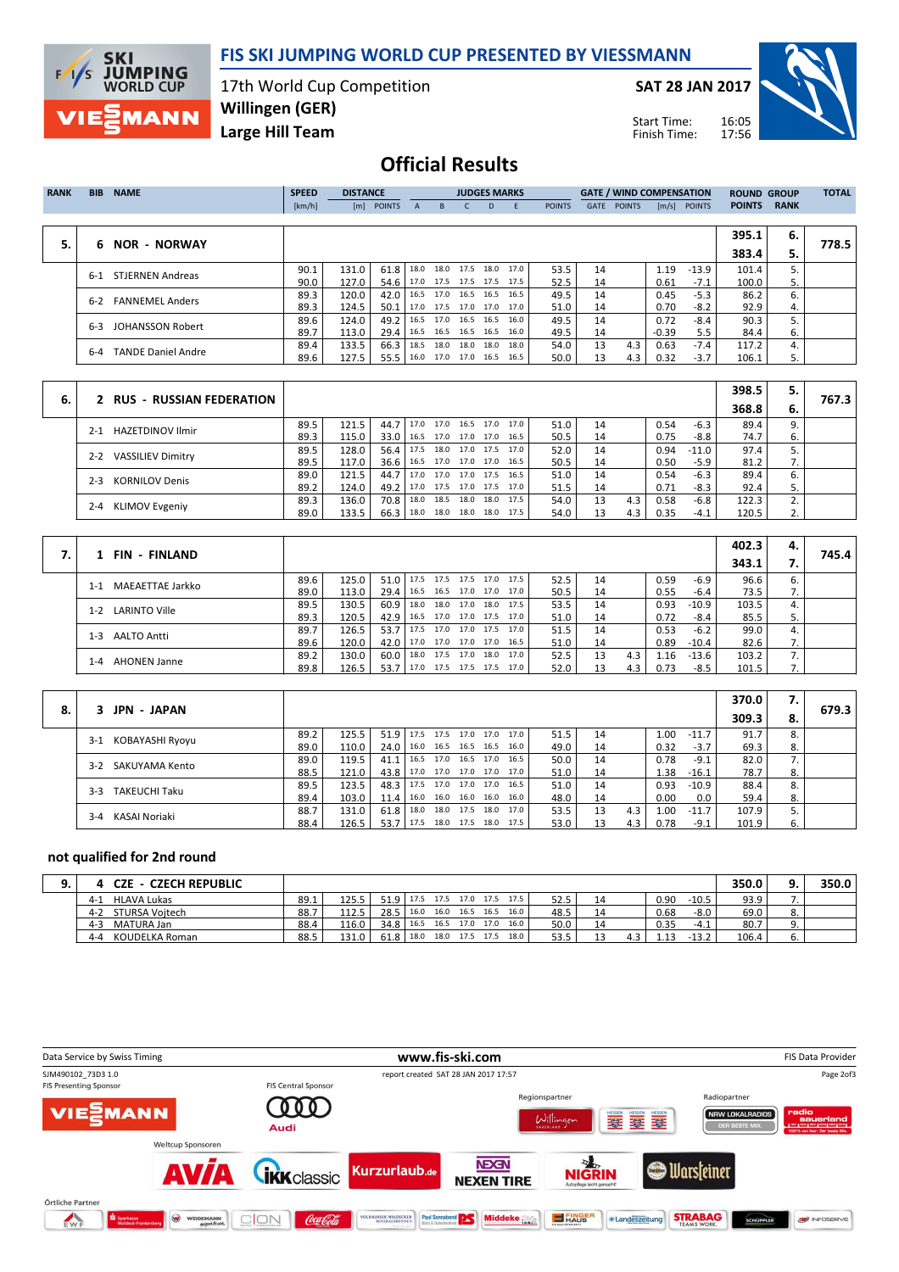

### FIS SKI JUMPING WORLD CUP PRESENTED BY VIESSMANN

17th World Cup Competition Willingen (GER)

SAT 28 JAN 2017

Start Time: Finish Time:



Large Hill Team

## Official Results

| <b>RANK</b> | <b>BIB</b> | <b>NAME</b>               | <b>SPEED</b> | <b>DISTANCE</b> |               |      |                          | <b>JUDGES MARKS</b> |    |           |               |             | <b>GATE / WIND COMPENSATION</b> |         |               | <b>ROUND GROUP</b> |             | <b>TOTAL</b> |
|-------------|------------|---------------------------|--------------|-----------------|---------------|------|--------------------------|---------------------|----|-----------|---------------|-------------|---------------------------------|---------|---------------|--------------------|-------------|--------------|
|             |            |                           | [km/h]       | [m]             | <b>POINTS</b> | A    | B.                       |                     | D. | -F        | <b>POINTS</b> | <b>GATE</b> | <b>POINTS</b>                   | [m/s]   | <b>POINTS</b> | <b>POINTS</b>      | <b>RANK</b> |              |
|             |            |                           |              |                 |               |      |                          |                     |    |           |               |             |                                 |         |               |                    |             |              |
|             |            |                           |              |                 |               |      |                          |                     |    |           |               |             |                                 |         |               | 395.1              | 6.          |              |
| 5.          | 6          | <b>NOR - NORWAY</b>       |              |                 |               |      |                          |                     |    |           |               |             |                                 |         |               | 383.4              | 5.          | 778.5        |
|             | $6-1$      | <b>STJERNEN Andreas</b>   | 90.1         | 131.0           | 61.8          |      | 18.0 18.0 17.5           |                     |    | 18.0 17.0 | 53.5          | 14          |                                 | 1.19    | $-13.9$       | 101.4              |             |              |
|             |            |                           | 90.0         | 127.0           | 54.6          |      | 17.0 17.5 17.5 17.5 17.5 |                     |    |           | 52.5          | 14          |                                 | 0.61    | $-7.1$        | 100.0              | 5.          |              |
|             | 6-2        | <b>FANNEMEL Anders</b>    | 89.3         | 120.0           | 42.0          | 16.5 | 17.0                     | 16.5 16.5           |    | 16.5      | 49.5          | 14          |                                 | 0.45    | $-5.3$        | 86.2               | 6.          |              |
|             |            |                           | 89.3         | 124.5           | 50.1          |      | 17.0 17.5 17.0 17.0 17.0 |                     |    |           | 51.0          | 14          |                                 | 0.70    | $-8.2$        | 92.9               | 4.          |              |
|             | $6 - 3$    | JOHANSSON Robert          | 89.6         | 124.0           | 49.2          | 16.5 | 17.0                     | 16.5 16.5           |    | 16.0      | 49.5          | 14          |                                 | 0.72    | $-8.4$        | 90.3               |             |              |
|             |            |                           | 89.7         | 113.0           | 29.4          |      | 16.5 16.5 16.5 16.5      |                     |    | 16.0      | 49.5          | 14          |                                 | $-0.39$ | 5.5           | 84.4               | 6.          |              |
|             | $6-4$      | <b>TANDE Daniel Andre</b> | 89.4         | 133.5           | 66.3          |      | 18.5 18.0 18.0 18.0 18.0 |                     |    |           | 54.0          | 13          | 4.3                             | 0.63    | $-7.4$        | 117.2              | 4.          |              |
|             |            |                           | 89.6         | 127.5           | 55.5          |      | 16.0 17.0 17.0 16.5      |                     |    | 16.5      | 50.0          | 13          | 4.3                             | 0.32    | $-3.7$        | 106.1              |             |              |

| 6. | 2 RUS - RUSSIAN FEDERATION         |      |       |                                 |                          |      |                     |      |    |     |      |         | 398.5 | 5. | 767.3 |
|----|------------------------------------|------|-------|---------------------------------|--------------------------|------|---------------------|------|----|-----|------|---------|-------|----|-------|
|    |                                    |      |       |                                 |                          |      |                     |      |    |     |      |         | 368.8 | 6. |       |
|    | <b>HAZETDINOV Ilmir</b><br>$2 - 1$ | 89.5 | 121.5 | 44.7                            | 17.0                     |      | 17.0 16.5 17.0 17.0 | 51.0 | 14 |     | 0.54 | $-6.3$  | 89.4  |    |       |
|    |                                    | 89.3 | 115.0 | 33.0                            | 16.5                     |      | 17.0 17.0 17.0 16.5 | 50.5 | 14 |     | 0.75 | $-8.8$  | 74.7  | ь. |       |
|    |                                    | 89.5 | 128.0 | $56.4$   17.5                   |                          |      | 18.0 17.0 17.5 17.0 | 52.0 | 14 |     | 0.94 | $-11.0$ | 97.4  |    |       |
|    | 2-2 VASSILIEV Dimitry              | 89.5 | 117.0 | 36.6   16.5 17.0 17.0 17.0 16.5 |                          |      |                     | 50.5 | 14 |     | 0.50 | $-5.9$  | 81.2  | 7. |       |
|    | <b>KORNILOV Denis</b><br>$2-3$     | 89.0 | 121.5 | 44.7                            | 17.0 17.0 17.0 17.5 16.5 |      |                     | 51.0 | 14 |     | 0.54 | $-6.3$  | 89.4  |    |       |
|    |                                    | 89.2 | 124.0 | 49.2   17.0 17.5 17.0 17.5 17.0 |                          |      |                     | 51.5 | 14 |     | 0.71 | $-8.3$  | 92.4  |    |       |
|    |                                    | 89.3 | 136.0 | 70.8 18.0                       |                          | 18.5 | 18.0 18.0 17.5      | 54.0 | 13 | 4.3 | 0.58 | $-6.8$  | 122.3 |    |       |
|    | <b>KLIMOV Evgeniy</b><br>$2 - 4$   | 89.0 | 133.5 | $66.3$   18.0                   |                          |      | 18.0 18.0 18.0 17.5 | 54.0 |    | 4.3 | 0.35 | $-4.1$  | 120.5 |    |       |

| 1 FIN - FINLAND             |      |       |      |                          |                |                     |      |      |    |     |      |         | 402.3 | 4.             |       |
|-----------------------------|------|-------|------|--------------------------|----------------|---------------------|------|------|----|-----|------|---------|-------|----------------|-------|
|                             |      |       |      |                          |                |                     |      |      |    |     |      |         | 343.1 |                | 745.4 |
| MAEAETTAE Jarkko<br>$1 - 1$ | 89.6 | 125.0 | 51.0 | 17.5 17.5 17.5 17.0      |                |                     | 17.5 | 52.5 | 14 |     | 0.59 | $-6.9$  | 96.6  | 6.             |       |
|                             | 89.0 | 113.0 | 29.4 | 16.5 16.5 17.0 17.0 17.0 |                |                     |      | 50.5 | 14 |     | 0.55 | -6.4    | 73.5  | $\mathbf{r}$ . |       |
| LARINTO Ville<br>$1 - 2$    | 89.5 | 130.5 | 60.9 | 18.0                     |                | 18.0 17.0 18.0      | 17.5 | 53.5 | 14 |     | 0.93 | $-10.9$ | 103.5 | 4.             |       |
|                             | 89.3 | 120.5 | 42.9 | 16.5 17.0 17.0 17.5 17.0 |                |                     |      | 51.0 | 14 |     | 0.72 | -8.4    | 85.5  | 5.             |       |
| AALTO Antti<br>1-3          | 89.7 | 126.5 | 53.7 | 17.5                     | 17.0 17.0 17.5 |                     | 17.0 | 51.5 | 14 |     | 0.53 | $-6.2$  | 99.0  | 4.             |       |
|                             | 89.6 | 120.0 | 42.0 | 17.0                     |                | 17.0 17.0 17.0 16.5 |      | 51.0 | 14 |     | 0.89 | $-10.4$ | 82.6  | 7.             |       |
|                             | 89.2 | 130.0 | 60.0 | 18.0                     | 17.5 17.0      | 18.0                | 17.0 | 52.5 | 13 | 4.3 | 1.16 | $-13.6$ | 103.2 |                |       |
| AHONEN Janne<br>1-4         | 89.8 | 126.5 | 53.7 | 17.0 17.5 17.5 17.5 17.0 |                |                     |      | 52.0 |    | 4.3 | 0.73 | $-8.5$  | 101.5 |                |       |

|    | <b>JPN - JAPAN</b>            |      |       |      |                     |  |                |      |      |    |     |      |         | 370.0 | 7. |       |
|----|-------------------------------|------|-------|------|---------------------|--|----------------|------|------|----|-----|------|---------|-------|----|-------|
| 8. |                               |      |       |      |                     |  |                |      |      |    |     |      |         | 309.3 | 8. | 679.3 |
|    | KOBAYASHI Ryoyu<br>$3-1$      | 89.2 | 125.5 | 51.9 | 17.5                |  | 17.5 17.0 17.0 | 17.0 | 51.5 | 14 |     | 1.00 | $-11.7$ | 91.7  | 8. |       |
|    |                               | 89.0 | 110.0 | 24.0 | 16.0                |  | 16.5 16.5 16.5 | 16.0 | 49.0 | 14 |     | 0.32 | $-3.7$  | 69.3  | 8. |       |
|    | SAKUYAMA Kento<br>$3-2$       | 89.0 | 119.5 | 41.1 | 16.5                |  | 17.0 16.5 17.0 | 16.5 | 50.0 | 14 |     | 0.78 | $-9.1$  | 82.0  |    |       |
|    |                               | 88.5 | 121.0 | 43.8 | 17.0 17.0 17.0 17.0 |  |                | 17.0 | 51.0 | 14 |     | 1.38 | $-16.1$ | 78.7  | 8. |       |
|    | <b>TAKEUCHI Taku</b><br>$3-3$ | 89.5 | 123.5 | 48.3 | 17.5                |  | 17.0 17.0 17.0 | 16.5 | 51.0 | 14 |     | 0.93 | $-10.9$ | 88.4  | 8. |       |
|    |                               | 89.4 | 103.0 | 11.4 | 16.0                |  | 16.0 16.0 16.0 | 16.0 | 48.0 | 14 |     | 0.00 | 0.0     | 59.4  | 8. |       |
|    | KASAI Noriaki<br>$3 - 4$      | 88.7 | 131.0 | 61.8 | 18.0                |  | 18.0 17.5 18.0 | 17.0 | 53.5 | 13 | 4.3 | 1.00 | $-11.7$ | 107.9 |    |       |
|    |                               | 88.4 | 126.5 | 53.7 | 17.5                |  | 18.0 17.5 18.0 | 17.5 | 53.0 | 13 | 4.3 | 0.78 | $-9.1$  | 101.9 | 6. |       |

#### not qualified for 2nd round

 $\sqrt{ }$ 

| <b>CZE - CZECH REPUBLIC</b> |      |       |                               |      |           |                     |      |       |    |     |      |         | 350.0 |     | 350.0 |
|-----------------------------|------|-------|-------------------------------|------|-----------|---------------------|------|-------|----|-----|------|---------|-------|-----|-------|
| HLAVA Lukas<br>$4 - 1$      | 89.1 | 125.5 | 51.9 17.5 17.5 17.0 17.5 17.5 |      |           |                     |      | 52.5  |    |     | 0.90 | $-10.5$ | 93.9  |     |       |
| STURSA Voitech<br>$4 - 2$   | 88.7 | 112.5 | $28.5$ 16.0                   |      |           | 16.0 16.5 16.5 16.0 |      | 48.5  | 14 |     | 0.68 | $-8.0$  | 69.0  | ٥.  |       |
| MATURA Jan<br>$4 - 3$       | 88.4 | 116.0 | $34.8$   16.5                 |      |           | 16.5 17.0 17.0      | 16.0 | 50.01 |    |     | 0.35 | $-4.1$  | 80.7  | . . |       |
| KOUDELKA Roman<br>$4 - 4$   | 88.5 | 131.0 | $61.8$   18.0                 | 18.0 | 17.5 17.5 |                     | 18.0 | 53.5  |    | 4.3 | 13   | $-13.2$ | 106.4 | ס.  |       |